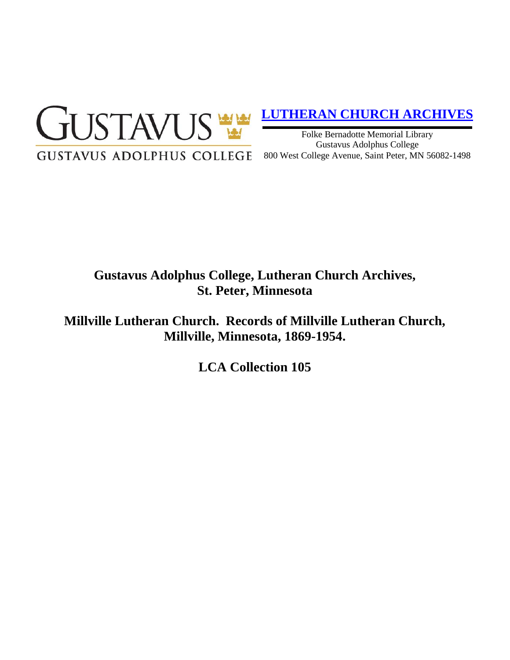

# **[LUTHERAN CHURCH ARCHIVES](http://gustavus.edu/academics/library/archives/)**

Folke Bernadotte Memorial Library Gustavus Adolphus College 800 West College Avenue, Saint Peter, MN 56082-1498

# **Gustavus Adolphus College, Lutheran Church Archives, St. Peter, Minnesota**

**Millville Lutheran Church. Records of Millville Lutheran Church, Millville, Minnesota, 1869-1954.**

**LCA Collection 105**